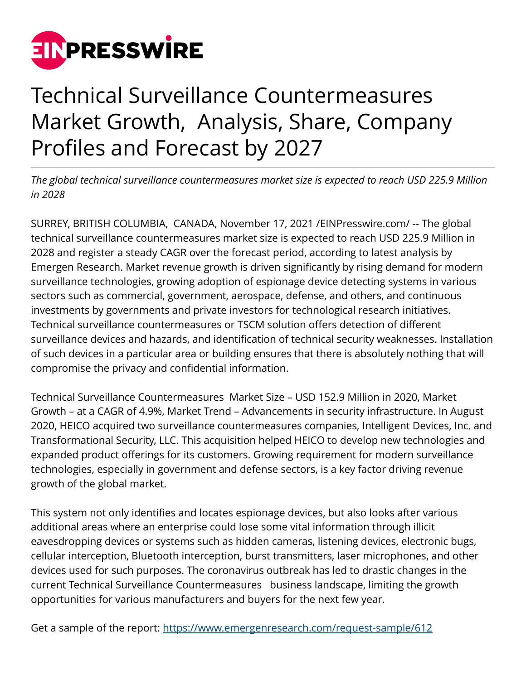

## Technical Surveillance Countermeasures Market Growth, Analysis, Share, Company Profiles and Forecast by 2027

*The global technical surveillance countermeasures market size is expected to reach USD 225.9 Million in 2028* 

SURREY, BRITISH COLUMBIA, CANADA, November 17, 2021 /[EINPresswire.com/](http://www.einpresswire.com) -- The global technical surveillance countermeasures market size is expected to reach USD 225.9 Million in 2028 and register a steady CAGR over the forecast period, according to latest analysis by Emergen Research. Market revenue growth is driven significantly by rising demand for modern surveillance technologies, growing adoption of espionage device detecting systems in various sectors such as commercial, government, aerospace, defense, and others, and continuous investments by governments and private investors for technological research initiatives. Technical surveillance countermeasures or TSCM solution offers detection of different surveillance devices and hazards, and identification of technical security weaknesses. Installation of such devices in a particular area or building ensures that there is absolutely nothing that will compromise the privacy and confidential information.

Technical Surveillance Countermeasures Market Size – USD 152.9 Million in 2020, Market Growth – at a CAGR of 4.9%, Market Trend – Advancements in security infrastructure. In August 2020, HEICO acquired two surveillance countermeasures companies, Intelligent Devices, Inc. and Transformational Security, LLC. This acquisition helped HEICO to develop new technologies and expanded product offerings for its customers. Growing requirement for modern surveillance technologies, especially in government and defense sectors, is a key factor driving revenue growth of the global market.

This system not only identifies and locates espionage devices, but also looks after various additional areas where an enterprise could lose some vital information through illicit eavesdropping devices or systems such as hidden cameras, listening devices, electronic bugs, cellular interception, Bluetooth interception, burst transmitters, laser microphones, and other devices used for such purposes. The coronavirus outbreak has led to drastic changes in the current Technical Surveillance Countermeasures business landscape, limiting the growth opportunities for various manufacturers and buyers for the next few year.

Get a sample of the report: <https://www.emergenresearch.com/request-sample/612>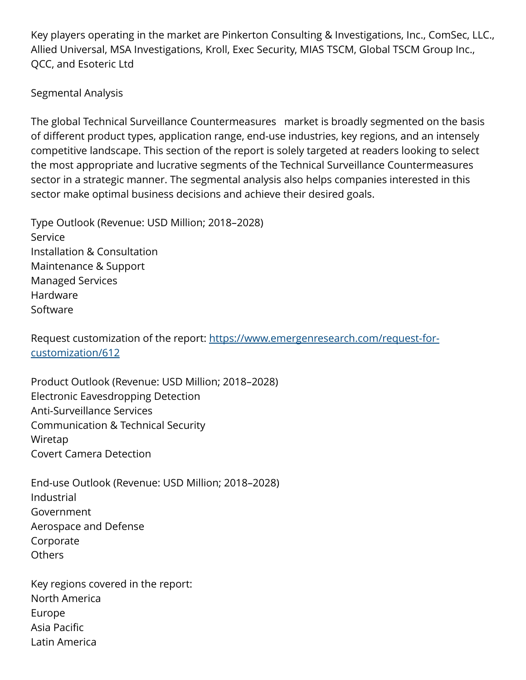Key players operating in the market are Pinkerton Consulting & Investigations, Inc., ComSec, LLC., Allied Universal, MSA Investigations, Kroll, Exec Security, MIAS TSCM, Global TSCM Group Inc., QCC, and Esoteric Ltd

## Segmental Analysis

The global Technical Surveillance Countermeasures market is broadly segmented on the basis of different product types, application range, end-use industries, key regions, and an intensely competitive landscape. This section of the report is solely targeted at readers looking to select the most appropriate and lucrative segments of the Technical Surveillance Countermeasures sector in a strategic manner. The segmental analysis also helps companies interested in this sector make optimal business decisions and achieve their desired goals.

Type Outlook (Revenue: USD Million; 2018–2028) Service Installation & Consultation Maintenance & Support Managed Services Hardware Software

Request customization of the report: [https://www.emergenresearch.com/request-for](https://www.emergenresearch.com/request-for-customization/612)[customization/612](https://www.emergenresearch.com/request-for-customization/612) 

Product Outlook (Revenue: USD Million; 2018–2028) Electronic Eavesdropping Detection Anti-Surveillance Services Communication & Technical Security Wiretap Covert Camera Detection

End-use Outlook (Revenue: USD Million; 2018–2028) Industrial Government Aerospace and Defense Corporate **Others** 

Key regions covered in the report: North America Europe Asia Pacific Latin America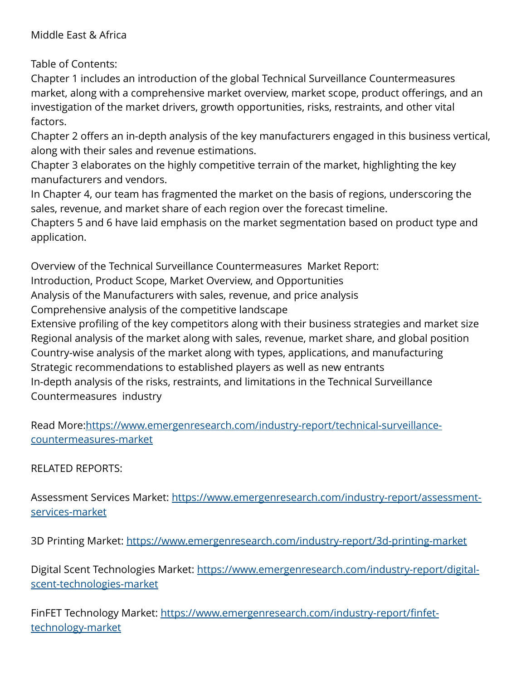## Middle East & Africa

Table of Contents:

Chapter 1 includes an introduction of the global Technical Surveillance Countermeasures market, along with a comprehensive market overview, market scope, product offerings, and an investigation of the market drivers, growth opportunities, risks, restraints, and other vital factors.

Chapter 2 offers an in-depth analysis of the key manufacturers engaged in this business vertical, along with their sales and revenue estimations.

Chapter 3 elaborates on the highly competitive terrain of the market, highlighting the key manufacturers and vendors.

In Chapter 4, our team has fragmented the market on the basis of regions, underscoring the sales, revenue, and market share of each region over the forecast timeline.

Chapters 5 and 6 have laid emphasis on the market segmentation based on product type and application.

Overview of the Technical Surveillance Countermeasures Market Report:

Introduction, Product Scope, Market Overview, and Opportunities

Analysis of the Manufacturers with sales, revenue, and price analysis

Comprehensive analysis of the competitive landscape

Extensive profiling of the key competitors along with their business strategies and market size Regional analysis of the market along with sales, revenue, market share, and global position Country-wise analysis of the market along with types, applications, and manufacturing Strategic recommendations to established players as well as new entrants In-depth analysis of the risks, restraints, and limitations in the Technical Surveillance Countermeasures industry

Read More:[https://www.emergenresearch.com/industry-report/technical-surveillance](https://www.emergenresearch.com/industry-report/technical-surveillance-countermeasures-market)[countermeasures-market](https://www.emergenresearch.com/industry-report/technical-surveillance-countermeasures-market)

RELATED REPORTS:

Assessment Services Market: [https://www.emergenresearch.com/industry-report/assessment](https://www.emergenresearch.com/industry-report/assessment-services-market)[services-market](https://www.emergenresearch.com/industry-report/assessment-services-market)

3D Printing Market:<https://www.emergenresearch.com/industry-report/3d-printing-market>

Digital Scent Technologies Market: https://www.emergenresearch.com/industrv-report/digital[scent-technologies-market](https://www.emergenresearch.com/industry-report/digital-scent-technologies-market)

FinFET Technology Market: [https://www.emergenresearch.com/industry-report/finfet](https://www.emergenresearch.com/industry-report/finfet-technology-market)[technology-market](https://www.emergenresearch.com/industry-report/finfet-technology-market)